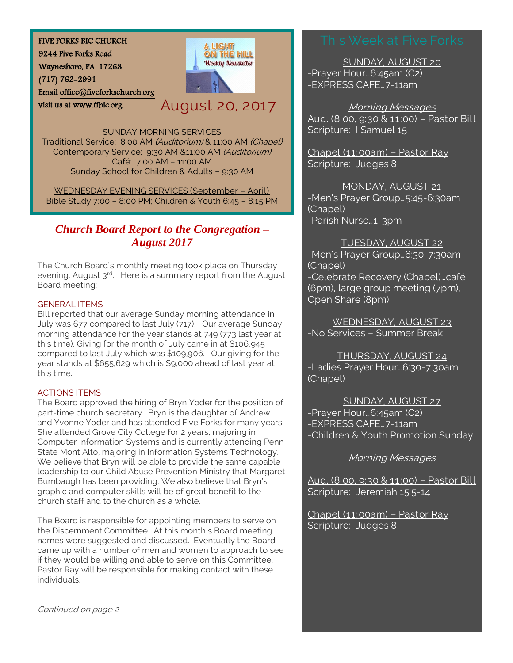FIVE FORKS BIC CHURCH

9244 Five Forks Road

Waynesboro, PA 17268

(717) 762-2991

visit us at [www.ffbic.org](http://www.ffbic.org/) 

Emai[l office@fiveforkschurch.org](mailto:office@fiveforkschurch.org) 

August 20, 2017

ON THE HILL **Weekly Newsletter** 

SUNDAY MORNING SERVICES

Traditional Service: 8:00 AM (Auditorium) & 11:00 AM (Chapel) Contemporary Service: 9:30 AM &11:00 AM (Auditorium) Café: 7:00 AM – 11:00 AM Sunday School for Children & Adults – 9:30 AM

WEDNESDAY EVENING SERVICES (September – April) Bible Study 7:00 – 8:00 PM; Children & Youth 6:45 – 8:15 PM

# *Church Board Report to the Congregation – August 2017*

The Church Board's monthly meeting took place on Thursday evening, August 3<sup>rd</sup>. Here is a summary report from the August Board meeting:

# GENERAL ITEMS

Bill reported that our average Sunday morning attendance in July was 677 compared to last July (717). Our average Sunday morning attendance for the year stands at 749 (773 last year at this time). Giving for the month of July came in at \$106,945 compared to last July which was \$109,906. Our giving for the year stands at \$655,629 which is \$9,000 ahead of last year at this time.

# ACTIONS ITEMS

The Board approved the hiring of Bryn Yoder for the position of part-time church secretary. Bryn is the daughter of Andrew and Yvonne Yoder and has attended Five Forks for many years. She attended Grove City College for 2 years, majoring in Computer Information Systems and is currently attending Penn State Mont Alto, majoring in Information Systems Technology. We believe that Bryn will be able to provide the same capable leadership to our Child Abuse Prevention Ministry that Margaret Bumbaugh has been providing. We also believe that Bryn's graphic and computer skills will be of great benefit to the church staff and to the church as a whole.

The Board is responsible for appointing members to serve on the Discernment Committee. At this month's Board meeting names were suggested and discussed. Eventually the Board came up with a number of men and women to approach to see if they would be willing and able to serve on this Committee. Pastor Ray will be responsible for making contact with these individuals.

SUNDAY, AUGUST 20 -Prayer Hour…6:45am (C2) -EXPRESS CAFE…7-11am

Morning Messages Aud. (8:00, 9:30 & 11:00) – Pastor Bill Scripture: I Samuel 15

Chapel (11:00am) – Pastor Ray Scripture: Judges 8

MONDAY, AUGUST 21 -Men's Prayer Group…5:45-6:30am (Chapel) -Parish Nurse…1-3pm

TUESDAY, AUGUST 22 -Men's Prayer Group…6:30-7:30am (Chapel) -Celebrate Recovery (Chapel)…café

(6pm), large group meeting (7pm), Open Share (8pm)

WEDNESDAY, AUGUST 23 -No Services – Summer Break

THURSDAY, AUGUST 24 -Ladies Prayer Hour…6:30-7:30am (Chapel)

SUNDAY, AUGUST 27 -Prayer Hour…6:45am (C2) -EXPRESS CAFE…7-11am -Children & Youth Promotion Sunday

Morning Messages

Aud. (8:00, 9:30 & 11:00) – Pastor Bill Scripture: Jeremiah 15:5-14

Chapel (11:00am) – Pastor Ray Scripture: Judges 8

Continued on page 2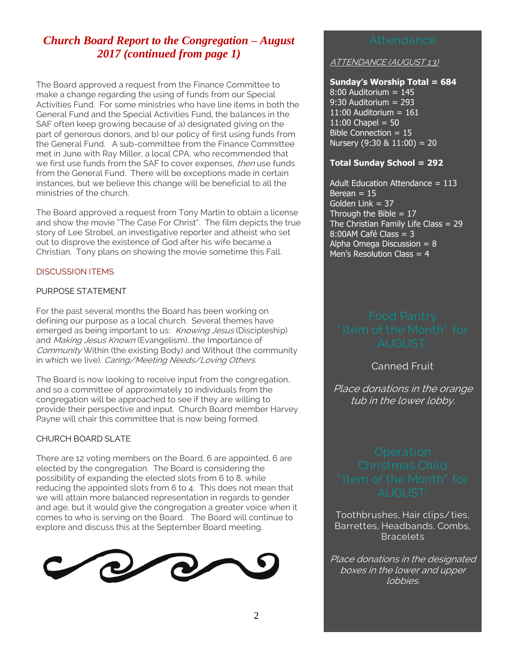# *Church Board Report to the Congregation – August 2017 (continued from page 1)*

The Board approved a request from the Finance Committee to make a change regarding the using of funds from our Special Activities Fund. For some ministries who have line items in both the General Fund and the Special Activities Fund, the balances in the SAF often keep growing because of a) designated giving on the part of generous donors, and b) our policy of first using funds from the General Fund. A sub-committee from the Finance Committee met in June with Ray Miller, a local CPA, who recommended that we first use funds from the SAF to cover expenses, then use funds from the General Fund. There will be exceptions made in certain instances, but we believe this change will be beneficial to all the ministries of the church.

The Board approved a request from Tony Martin to obtain a license and show the movie "The Case For Christ". The film depicts the true story of Lee Strobel, an investigative reporter and atheist who set out to disprove the existence of God after his wife became a Christian. Tony plans on showing the movie sometime this Fall.

## DISCUSSION ITEMS

### PURPOSE STATEMENT

For the past several months the Board has been working on defining our purpose as a local church. Several themes have emerged as being important to us: Knowing Jesus (Discipleship) and Making Jesus Known (Evangelism)...the Importance of Community Within (the existing Body) and Without (the community in which we live). Caring/Meeting Needs/Loving Others.

The Board is now looking to receive input from the congregation, and so a committee of approximately 10 individuals from the congregation will be approached to see if they are willing to provide their perspective and input. Church Board member Harvey Payne will chair this committee that is now being formed.

### CHURCH BOARD SLATE

There are 12 voting members on the Board, 6 are appointed, 6 are elected by the congregation. The Board is considering the possibility of expanding the elected slots from 6 to 8, while reducing the appointed slots from 6 to 4. This does not mean that we will attain more balanced representation in regards to gender and age, but it would give the congregation a greater voice when it comes to who is serving on the Board. The Board will continue to explore and discuss this at the September Board meeting.



ATTENDANCE (AUGUST 13)

#### **Sunday's Worship Total = 684**

 $8:00$  Auditorium =  $145$ 9:30 Auditorium = 293 11:00 Auditorium  $= 161$  $11:00$  Chapel = 50 Bible Connection = 15 Nursery  $(9:30 \& 11:00) = 20$ 

### **Total Sunday School = 292**

Adult Education Attendance  $= 113$ Berean  $= 15$ Golden Link = 37 Through the Bible  $= 17$ The Christian Family Life Class  $= 29$  $8:00$ AM Café Class = 3 Alpha Omega Discussion =  $8$ Men's Resolution Class = 4

Canned Fruit

Place donations in the orange tub in the lower lobby.

Toothbrushes, Hair clips/ ties, Barrettes, Headbands, Combs, Bracelets

Place donations in the designated boxes in the lower and upper lobbies.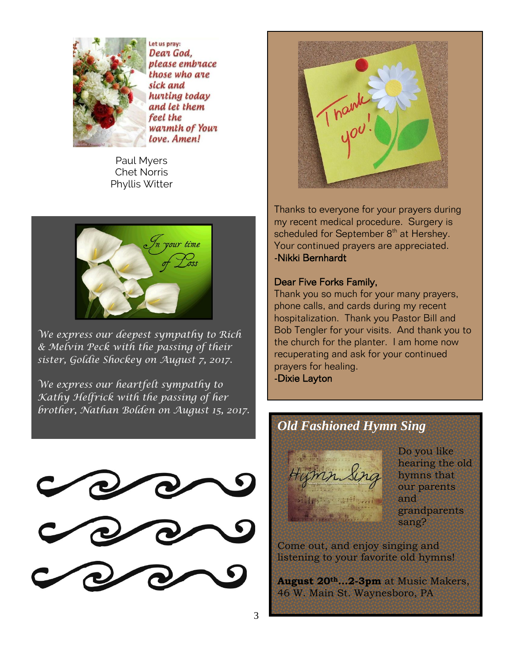

Let us pray: Dear God, please embrace those who are sick and hurting today and let them feel the warmth of Your love. Amen!

Paul Myers Chet Norris Phyllis Witter



*We express our deepest sympathy to Rich & Melvin Peck with the passing of their sister, Goldie Shockey on August 7, 2017.*

*We express our heartfelt sympathy to Kathy Helfrick with the passing of her brother, Nathan Bolden on August 15, 2017.*







Thanks to everyone for your prayers during my recent medical procedure. Surgery is scheduled for September 8<sup>th</sup> at Hershey. Your continued prayers are appreciated. -Nikki Bernhardt

# Dear Five Forks Family,

Thank you so much for your many prayers, phone calls, and cards during my recent hospitalization. Thank you Pastor Bill and Bob Tengler for your visits. And thank you to the church for the planter. I am home now recuperating and ask for your continued prayers for healing. -Dixie Layton

# *Old Fashioned Hymn Sing*

Do you like hearing the old hymns that our parents and grandparents sang?

Come out, and enjoy singing and listening to your favorite old hymns!

**August 20th…2-3pm** at Music Makers, 46 W. Main St. Waynesboro, PA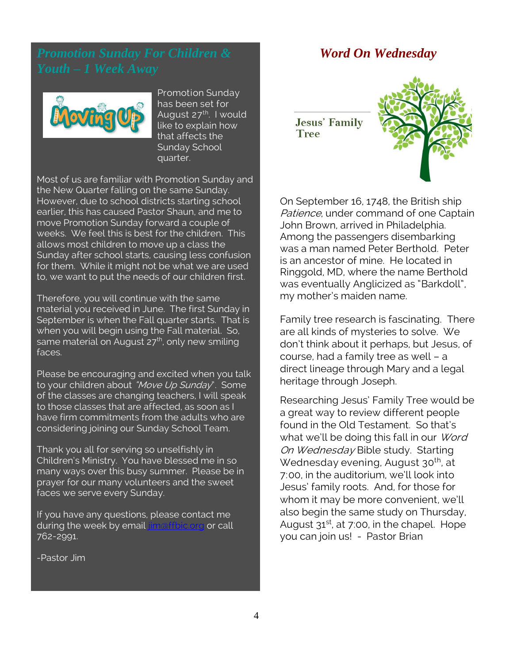

Promotion Sunday has been set for August 27<sup>th</sup>. I would like to explain how that affects the Sunday School quarter.

Most of us are familiar with Promotion Sunday and the New Quarter falling on the same Sunday. However, due to school districts starting school earlier, this has caused Pastor Shaun, and me to move Promotion Sunday forward a couple of weeks. We feel this is best for the children. This allows most children to move up a class the Sunday after school starts, causing less confusion for them. While it might not be what we are used to, we want to put the needs of our children first.

Therefore, you will continue with the same material you received in June. The first Sunday in September is when the Fall quarter starts. That is when you will begin using the Fall material. So, same material on August 27<sup>th</sup>, only new smiling faces.

Please be encouraging and excited when you talk to your children about "Move Up Sunday". Some of the classes are changing teachers, I will speak to those classes that are affected, as soon as I have firm commitments from the adults who are considering joining our Sunday School Team.

Thank you all for serving so unselfishly in Children's Ministry. You have blessed me in so many ways over this busy summer. Please be in prayer for our many volunteers and the sweet faces we serve every Sunday.

If you have any questions, please contact me during the week by email [jim@ffbic.org](mailto:jim@ffbic.org) or call 762-2991.

-Pastor Jim

# *Word On Wednesday*

**Jesus' Family Tree** 



On September 16, 1748, the British ship Patience, under command of one Captain John Brown, arrived in Philadelphia. Among the passengers disembarking was a man named Peter Berthold. Peter is an ancestor of mine. He located in Ringgold, MD, where the name Berthold was eventually Anglicized as "Barkdoll", my mother's maiden name.

Family tree research is fascinating. There are all kinds of mysteries to solve. We don't think about it perhaps, but Jesus, of course, had a family tree as well – a direct lineage through Mary and a legal heritage through Joseph.

Researching Jesus' Family Tree would be a great way to review different people found in the Old Testament. So that's what we'll be doing this fall in our Word On Wednesday Bible study. Starting Wednesday evening, August 30<sup>th</sup>, at 7:00, in the auditorium, we'll look into Jesus' family roots. And, for those for whom it may be more convenient, we'll also begin the same study on Thursday, August  $31^{st}$ , at 7:00, in the chapel. Hope you can join us! - Pastor Brian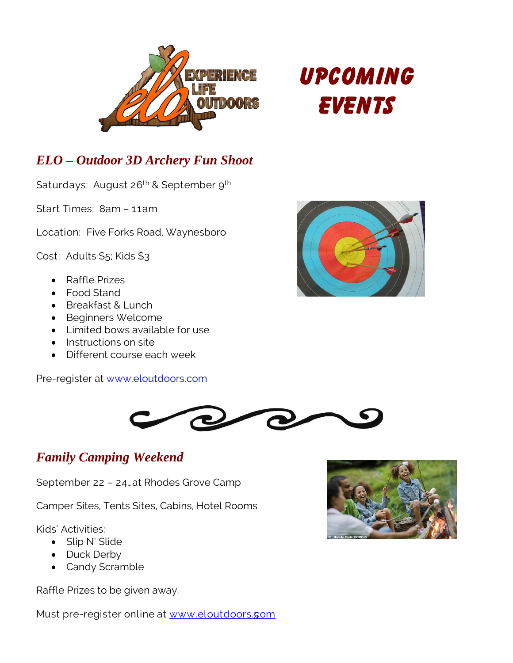

# **Upcoming Events**

# *ELO – Outdoor 3D Archery Fun Shoot*

Saturdays: August 26<sup>th</sup> & September 9<sup>th</sup>

Start Times: 8am – 11am

Location: Five Forks Road, Waynesboro

Cost: Adults \$5; Kids \$3

- Raffle Prizes
- Food Stand
- Breakfast & Lunch
- Beginners Welcome
- Limited bows available for use
- Instructions on site
- Different course each week

Pre-register at [www.eloutdoors.com](http://www.eloutdoors.com/)





# *Family Camping Weekend*

September 22 – 24…at Rhodes Grove Camp

Camper Sites, Tents Sites, Cabins, Hotel Rooms

Kids' Activities:

- Slip N' Slide
- Duck Derby
- Candy Scramble

Raffle Prizes to be given away.

Must pre-register online at <u>www.eloutdoors.**c**om</u>

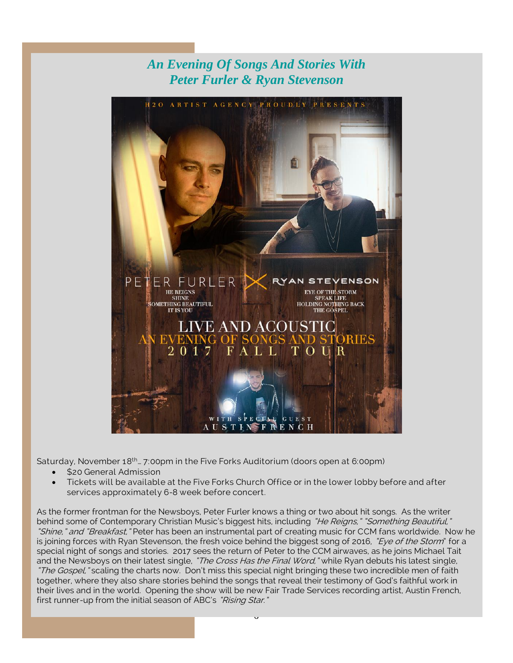# *An Evening Of Songs And Stories With Peter Furler & Ryan Stevenson*



Saturday, November 18th… 7:00pm in the Five Forks Auditorium (doors open at 6:00pm)

- \$20 General Admission
- Tickets will be available at the Five Forks Church Office or in the lower lobby before and after services approximately 6-8 week before concert.

As the former frontman for the Newsboys, Peter Furler knows a thing or two about hit songs. As the writer behind some of Contemporary Christian Music's biggest hits, including "He Reigns," "Something Beautiful," "Shine," and "Breakfast," Peter has been an instrumental part of creating music for CCM fans worldwide. Now he is joining forces with Ryan Stevenson, the fresh voice behind the biggest song of 2016, "Eye of the Storm" for a special night of songs and stories. 2017 sees the return of Peter to the CCM airwaves, as he joins Michael Tait and the Newsboys on their latest single, "The Cross Has the Final Word," while Ryan debuts his latest single, "The Gospel," scaling the charts now. Don't miss this special night bringing these two incredible men of faith together, where they also share stories behind the songs that reveal their testimony of God's faithful work in their lives and in the world. Opening the show will be new Fair Trade Services recording artist, Austin French, first runner-up from the initial season of ABC's "Rising Star."

 $\cup$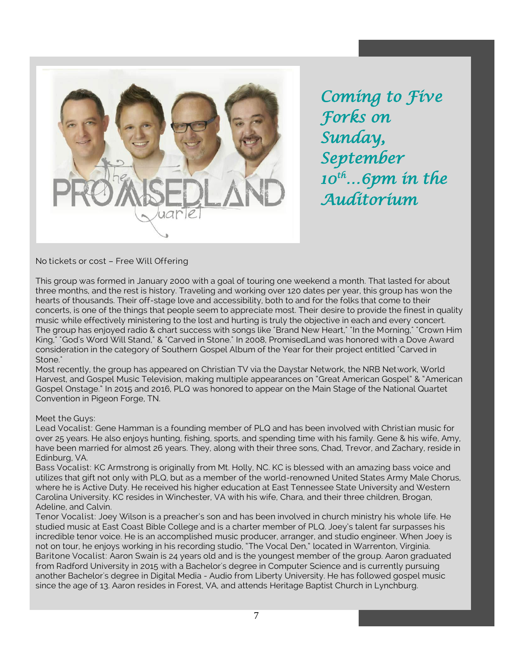

*Coming to Five Forks on Sunday, September 10th…6pm in the Auditorium* 

# No tickets or cost – Free Will Offering

This group was formed in January 2000 with a goal of touring one weekend a month. That lasted for about three months, and the rest is history. Traveling and working over 120 dates per year, this group has won the hearts of thousands. Their off-stage love and accessibility, both to and for the folks that come to their concerts, is one of the things that people seem to appreciate most. Their desire to provide the finest in quality music while effectively ministering to the lost and hurting is truly the objective in each and every concert. The group has enjoyed radio & chart success with songs like "Brand New Heart," "In the Morning," "Crown Him King," "God's Word Will Stand," & "Carved in Stone." In 2008, PromisedLand was honored with a Dove Award consideration in the category of Southern Gospel Album of the Year for their project entitled "Carved in Stone."

Most recently, the group has appeared on Christian TV via the Daystar Network, the NRB Network, World Harvest, and Gospel Music Television, making multiple appearances on "Great American Gospel" & "American Gospel Onstage." In 2015 and 2016, PLQ was honored to appear on the Main Stage of the National Quartet Convention in Pigeon Forge, TN.

#### Meet the Guys:

Lead Vocalist: Gene Hamman is a founding member of PLQ and has been involved with Christian music for over 25 years. He also enjoys hunting, fishing, sports, and spending time with his family. Gene & his wife, Amy, have been married for almost 26 years. They, along with their three sons, Chad, Trevor, and Zachary, reside in Edinburg, VA.

Bass Vocalist: KC Armstrong is originally from Mt. Holly, NC. KC is blessed with an amazing bass voice and utilizes that gift not only with PLQ, but as a member of the world-renowned United States Army Male Chorus, where he is Active Duty. He received his higher education at East Tennessee State University and Western Carolina University. KC resides in Winchester, VA with his wife, Chara, and their three children, Brogan, Adeline, and Calvin.

Tenor Vocalist: Joey Wilson is a preacher's son and has been involved in church ministry his whole life. He studied music at East Coast Bible College and is a charter member of PLQ. Joey's talent far surpasses his incredible tenor voice. He is an accomplished music producer, arranger, and studio engineer. When Joey is not on tour, he enjoys working in his recording studio, "The Vocal Den," located in Warrenton, Virginia. Baritone Vocalist: Aaron Swain is 24 years old and is the youngest member of the group. Aaron graduated from Radford University in 2015 with a Bachelor's degree in Computer Science and is currently pursuing another Bachelor's degree in Digital Media - Audio from Liberty University. He has followed gospel music since the age of 13. Aaron resides in Forest, VA, and attends Heritage Baptist Church in Lynchburg.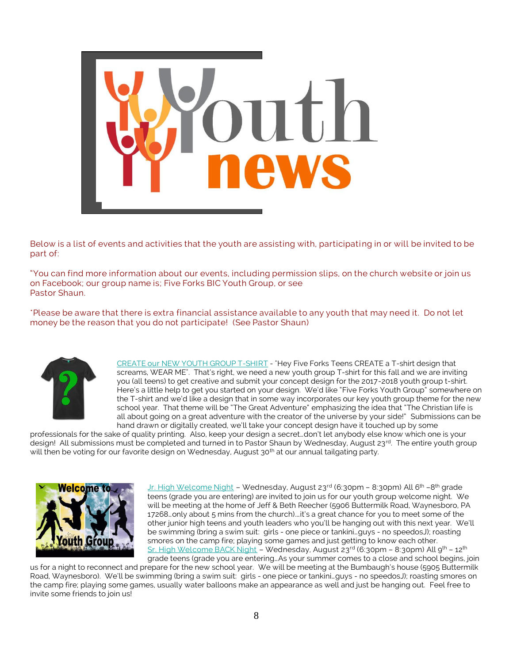

Below is a list of events and activities that the youth are assisting with, participating in or will be invited to be part of:

"You can find more information about our events, including permission slips, on the church website or join us on Facebook; our group name is; Five Forks BIC Youth Group, or see Pastor Shaun.

\*Please be aware that there is extra financial assistance available to any youth that may need it. Do not let money be the reason that you do not participate! (See Pastor Shaun)



CREATE our NEW YOUTH GROUP T-SHIRT - "Hey Five Forks Teens CREATE a T-shirt design that screams, WEAR ME". That's right, we need a new youth group T-shirt for this fall and we are inviting you (all teens) to get creative and submit your concept design for the 2017-2018 youth group t-shirt. Here's a little help to get you started on your design. We'd like "Five Forks Youth Group" somewhere on the T-shirt and we'd like a design that in some way incorporates our key youth group theme for the new school year. That theme will be "The Great Adventure" emphasizing the idea that "The Christian life is all about going on a great adventure with the creator of the universe by your side!" Submissions can be hand drawn or digitally created, we'll take your concept design have it touched up by some

professionals for the sake of quality printing. Also, keep your design a secret…don't let anybody else know which one is your design! All submissions must be completed and turned in to Pastor Shaun by Wednesday, August 23<sup>rd</sup>. The entire youth group will then be voting for our favorite design on Wednesday, August 30<sup>th</sup> at our annual tailgating party.



<u>Jr. High Welcome Night</u> – Wednesday, August 23<sup>rd</sup> (6:30pm – 8:30pm) All 6<sup>th</sup> –8<sup>th</sup> grade teens (grade you are entering) are invited to join us for our youth group welcome night. We will be meeting at the home of Jeff & Beth Reecher (5906 Buttermilk Road, Waynesboro, PA 17268…only about 5 mins from the church).…it's a great chance for you to meet some of the other junior high teens and youth leaders who you'll be hanging out with this next year. We'll be swimming (bring a swim suit: girls - one piece or tankini…guys - no speedosJ); roasting smores on the camp fire; playing some games and just getting to know each other. Sr. High Welcome BACK Night – Wednesday, August 23rd (6:30pm – 8:30pm) All 9th – 12th

grade teens (grade you are entering…As your summer comes to a close and school begins, join us for a night to reconnect and prepare for the new school year. We will be meeting at the Bumbaugh's house (5905 Buttermilk Road, Waynesboro). We'll be swimming (bring a swim suit: girls - one piece or tankini…guys - no speedosJ); roasting smores on the camp fire; playing some games, usually water balloons make an appearance as well and just be hanging out. Feel free to invite some friends to join us!